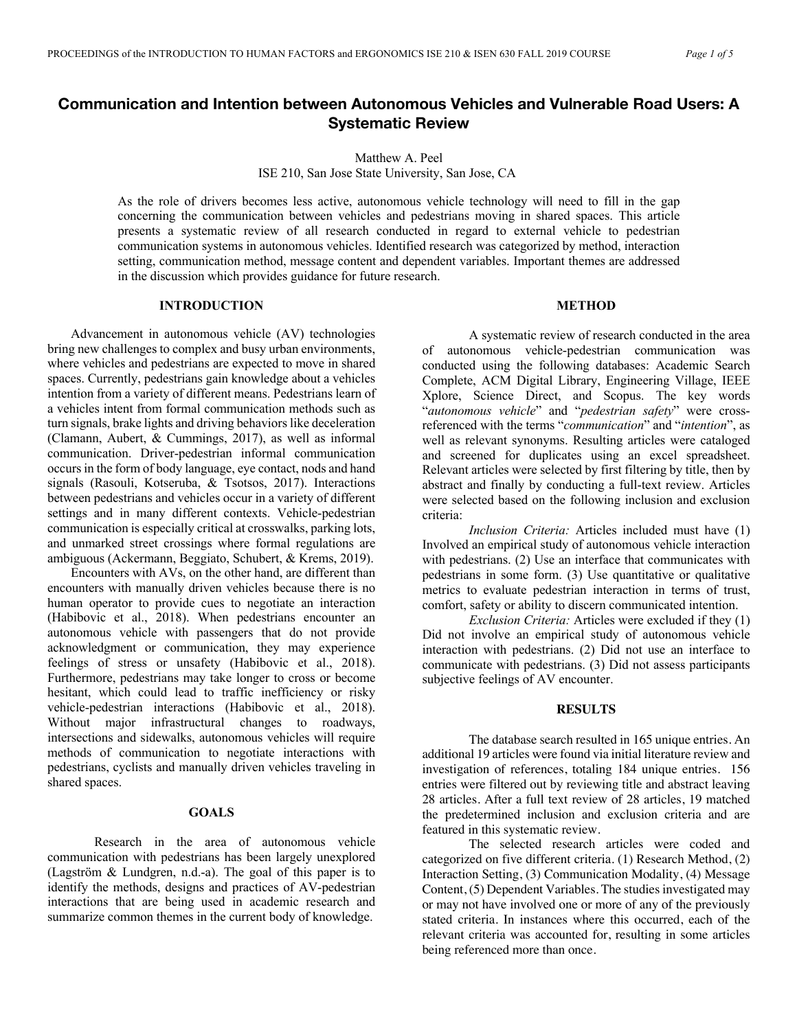# **Communication and Intention between Autonomous Vehicles and Vulnerable Road Users: A Systematic Review**

Matthew A. Peel

ISE 210, San Jose State University, San Jose, CA

As the role of drivers becomes less active, autonomous vehicle technology will need to fill in the gap concerning the communication between vehicles and pedestrians moving in shared spaces. This article presents a systematic review of all research conducted in regard to external vehicle to pedestrian communication systems in autonomous vehicles. Identified research was categorized by method, interaction setting, communication method, message content and dependent variables. Important themes are addressed in the discussion which provides guidance for future research.

### **INTRODUCTION**

Advancement in autonomous vehicle (AV) technologies bring new challenges to complex and busy urban environments, where vehicles and pedestrians are expected to move in shared spaces. Currently, pedestrians gain knowledge about a vehicles intention from a variety of different means. Pedestrians learn of a vehicles intent from formal communication methods such as turn signals, brake lights and driving behaviors like deceleration (Clamann, Aubert, & Cummings, 2017), as well as informal communication. Driver-pedestrian informal communication occurs in the form of body language, eye contact, nods and hand signals (Rasouli, Kotseruba, & Tsotsos, 2017). Interactions between pedestrians and vehicles occur in a variety of different settings and in many different contexts. Vehicle-pedestrian communication is especially critical at crosswalks, parking lots, and unmarked street crossings where formal regulations are ambiguous (Ackermann, Beggiato, Schubert, & Krems, 2019).

Encounters with AVs, on the other hand, are different than encounters with manually driven vehicles because there is no human operator to provide cues to negotiate an interaction (Habibovic et al., 2018). When pedestrians encounter an autonomous vehicle with passengers that do not provide acknowledgment or communication, they may experience feelings of stress or unsafety (Habibovic et al., 2018). Furthermore, pedestrians may take longer to cross or become hesitant, which could lead to traffic inefficiency or risky vehicle-pedestrian interactions (Habibovic et al., 2018). Without major infrastructural changes to roadways, intersections and sidewalks, autonomous vehicles will require methods of communication to negotiate interactions with pedestrians, cyclists and manually driven vehicles traveling in shared spaces.

# **GOALS**

Research in the area of autonomous vehicle communication with pedestrians has been largely unexplored (Lagström & Lundgren, n.d.-a). The goal of this paper is to identify the methods, designs and practices of AV-pedestrian interactions that are being used in academic research and summarize common themes in the current body of knowledge.

# **METHOD**

A systematic review of research conducted in the area of autonomous vehicle-pedestrian communication was conducted using the following databases: Academic Search Complete, ACM Digital Library, Engineering Village, IEEE Xplore, Science Direct, and Scopus. The key words "*autonomous vehicle*" and "*pedestrian safety*" were crossreferenced with the terms "*communication*" and "*intention*", as well as relevant synonyms. Resulting articles were cataloged and screened for duplicates using an excel spreadsheet. Relevant articles were selected by first filtering by title, then by abstract and finally by conducting a full-text review. Articles were selected based on the following inclusion and exclusion criteria:

*Inclusion Criteria:* Articles included must have (1) Involved an empirical study of autonomous vehicle interaction with pedestrians. (2) Use an interface that communicates with pedestrians in some form. (3) Use quantitative or qualitative metrics to evaluate pedestrian interaction in terms of trust, comfort, safety or ability to discern communicated intention.

*Exclusion Criteria:* Articles were excluded if they (1) Did not involve an empirical study of autonomous vehicle interaction with pedestrians. (2) Did not use an interface to communicate with pedestrians. (3) Did not assess participants subjective feelings of AV encounter.

### **RESULTS**

The database search resulted in 165 unique entries. An additional 19 articles were found via initial literature review and investigation of references, totaling 184 unique entries. 156 entries were filtered out by reviewing title and abstract leaving 28 articles. After a full text review of 28 articles, 19 matched the predetermined inclusion and exclusion criteria and are featured in this systematic review.

The selected research articles were coded and categorized on five different criteria. (1) Research Method, (2) Interaction Setting, (3) Communication Modality, (4) Message Content, (5) Dependent Variables. The studies investigated may or may not have involved one or more of any of the previously stated criteria. In instances where this occurred, each of the relevant criteria was accounted for, resulting in some articles being referenced more than once.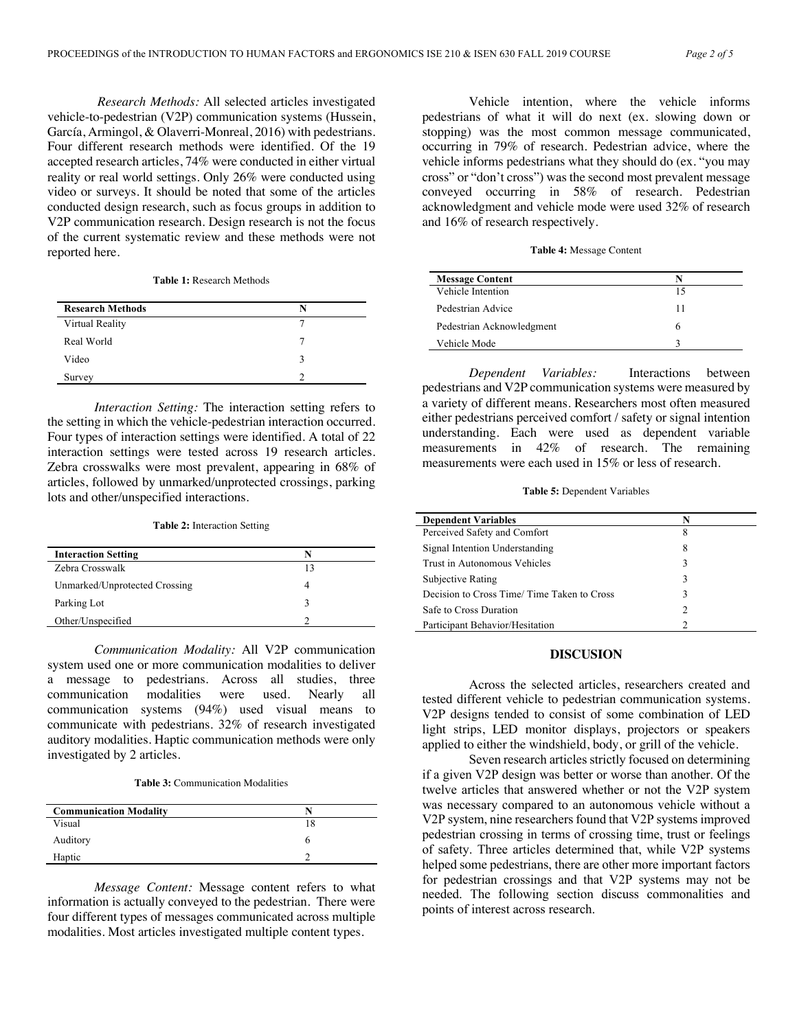*Research Methods:* All selected articles investigated vehicle-to-pedestrian (V2P) communication systems (Hussein, García, Armingol, & Olaverri-Monreal, 2016) with pedestrians. Four different research methods were identified. Of the 19 accepted research articles, 74% were conducted in either virtual reality or real world settings. Only 26% were conducted using video or surveys. It should be noted that some of the articles conducted design research, such as focus groups in addition to V2P communication research. Design research is not the focus of the current systematic review and these methods were not reported here.

#### **Table 1:** Research Methods

| <b>Research Methods</b> | N |
|-------------------------|---|
| Virtual Reality         |   |
| Real World              |   |
| Video                   | 3 |
| Survey                  |   |

*Interaction Setting:* The interaction setting refers to the setting in which the vehicle-pedestrian interaction occurred. Four types of interaction settings were identified. A total of 22 interaction settings were tested across 19 research articles. Zebra crosswalks were most prevalent, appearing in 68% of articles, followed by unmarked/unprotected crossings, parking lots and other/unspecified interactions.

### **Table 2:** Interaction Setting

| <b>Interaction Setting</b>    |  |
|-------------------------------|--|
| Zebra Crosswalk               |  |
| Unmarked/Unprotected Crossing |  |
| Parking Lot                   |  |
| Other/Unspecified             |  |

*Communication Modality:* All V2P communication system used one or more communication modalities to deliver a message to pedestrians. Across all studies, three communication modalities were used. Nearly all communication systems (94%) used visual means to communicate with pedestrians. 32% of research investigated auditory modalities. Haptic communication methods were only investigated by 2 articles.

**Table 3:** Communication Modalities

| <b>Communication Modality</b> |  |
|-------------------------------|--|
| Visual                        |  |
| Auditory                      |  |
| Haptic                        |  |

*Message Content:* Message content refers to what information is actually conveyed to the pedestrian. There were four different types of messages communicated across multiple modalities. Most articles investigated multiple content types.

Vehicle intention, where the vehicle informs pedestrians of what it will do next (ex. slowing down or stopping) was the most common message communicated, occurring in 79% of research. Pedestrian advice, where the vehicle informs pedestrians what they should do (ex. "you may cross" or "don't cross") was the second most prevalent message conveyed occurring in 58% of research. Pedestrian acknowledgment and vehicle mode were used 32% of research and 16% of research respectively.

**Table 4:** Message Content

| <b>Message Content</b>    | N  |
|---------------------------|----|
| Vehicle Intention         | 15 |
| Pedestrian Advice         | 11 |
| Pedestrian Acknowledgment | h  |
| Vehicle Mode              |    |

*Dependent Variables:* Interactions between pedestrians and V2P communication systems were measured by a variety of different means. Researchers most often measured either pedestrians perceived comfort / safety or signal intention understanding. Each were used as dependent variable measurements in 42% of research. The remaining measurements were each used in 15% or less of research.

**Table 5:** Dependent Variables

| <b>Dependent Variables</b>                 | N |
|--------------------------------------------|---|
| Perceived Safety and Comfort               | 8 |
| Signal Intention Understanding             | 8 |
| Trust in Autonomous Vehicles               | 3 |
| Subjective Rating                          | 3 |
| Decision to Cross Time/Time Taken to Cross | 3 |
| Safe to Cross Duration                     | 2 |
| Participant Behavior/Hesitation            |   |

### **DISCUSION**

Across the selected articles, researchers created and tested different vehicle to pedestrian communication systems. V2P designs tended to consist of some combination of LED light strips, LED monitor displays, projectors or speakers applied to either the windshield, body, or grill of the vehicle.

Seven research articles strictly focused on determining if a given V2P design was better or worse than another. Of the twelve articles that answered whether or not the V2P system was necessary compared to an autonomous vehicle without a V2P system, nine researchers found that V2P systems improved pedestrian crossing in terms of crossing time, trust or feelings of safety. Three articles determined that, while V2P systems helped some pedestrians, there are other more important factors for pedestrian crossings and that V2P systems may not be needed. The following section discuss commonalities and points of interest across research.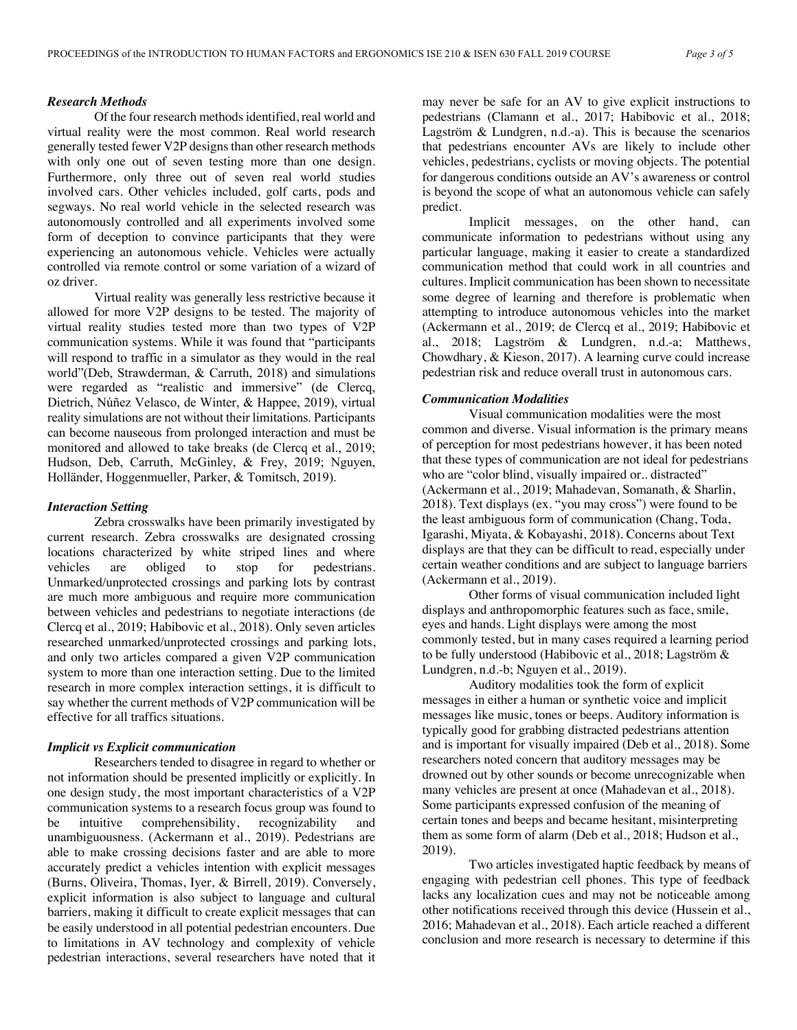# *Research Methods*

Of the four research methods identified, real world and virtual reality were the most common. Real world research generally tested fewer V2P designsthan other research methods with only one out of seven testing more than one design. Furthermore, only three out of seven real world studies involved cars. Other vehicles included, golf carts, pods and segways. No real world vehicle in the selected research was autonomously controlled and all experiments involved some form of deception to convince participants that they were experiencing an autonomous vehicle. Vehicles were actually controlled via remote control or some variation of a wizard of oz driver.

Virtual reality was generally less restrictive because it allowed for more V2P designs to be tested. The majority of virtual reality studies tested more than two types of V2P communication systems. While it was found that "participants will respond to traffic in a simulator as they would in the real world"(Deb, Strawderman, & Carruth, 2018) and simulations were regarded as "realistic and immersive" (de Clercq, Dietrich, Núñez Velasco, de Winter, & Happee, 2019), virtual reality simulations are not without their limitations. Participants can become nauseous from prolonged interaction and must be monitored and allowed to take breaks (de Clercq et al., 2019; Hudson, Deb, Carruth, McGinley, & Frey, 2019; Nguyen, Holländer, Hoggenmueller, Parker, & Tomitsch, 2019).

# *Interaction Setting*

Zebra crosswalks have been primarily investigated by current research. Zebra crosswalks are designated crossing locations characterized by white striped lines and where vehicles are obliged to stop for pedestrians. Unmarked/unprotected crossings and parking lots by contrast are much more ambiguous and require more communication between vehicles and pedestrians to negotiate interactions (de Clercq et al., 2019; Habibovic et al., 2018). Only seven articles researched unmarked/unprotected crossings and parking lots, and only two articles compared a given V2P communication system to more than one interaction setting. Due to the limited research in more complex interaction settings, it is difficult to say whether the current methods of V2P communication will be effective for all traffics situations.

#### *Implicit vs Explicit communication*

Researchers tended to disagree in regard to whether or not information should be presented implicitly or explicitly. In one design study, the most important characteristics of a V2P communication systems to a research focus group was found to be intuitive comprehensibility, recognizability and unambiguousness. (Ackermann et al., 2019). Pedestrians are able to make crossing decisions faster and are able to more accurately predict a vehicles intention with explicit messages (Burns, Oliveira, Thomas, Iyer, & Birrell, 2019). Conversely, explicit information is also subject to language and cultural barriers, making it difficult to create explicit messages that can be easily understood in all potential pedestrian encounters. Due to limitations in AV technology and complexity of vehicle pedestrian interactions, several researchers have noted that it

may never be safe for an AV to give explicit instructions to pedestrians (Clamann et al., 2017; Habibovic et al., 2018; Lagström & Lundgren, n.d.-a). This is because the scenarios that pedestrians encounter AVs are likely to include other vehicles, pedestrians, cyclists or moving objects. The potential for dangerous conditions outside an AV's awareness or control is beyond the scope of what an autonomous vehicle can safely predict.

Implicit messages, on the other hand, can communicate information to pedestrians without using any particular language, making it easier to create a standardized communication method that could work in all countries and cultures. Implicit communication has been shown to necessitate some degree of learning and therefore is problematic when attempting to introduce autonomous vehicles into the market (Ackermann et al., 2019; de Clercq et al., 2019; Habibovic et al., 2018; Lagström & Lundgren, n.d.-a; Matthews, Chowdhary, & Kieson, 2017). A learning curve could increase pedestrian risk and reduce overall trust in autonomous cars.

# *Communication Modalities*

Visual communication modalities were the most common and diverse. Visual information is the primary means of perception for most pedestrians however, it has been noted that these types of communication are not ideal for pedestrians who are "color blind, visually impaired or.. distracted" (Ackermann et al., 2019; Mahadevan, Somanath, & Sharlin, 2018). Text displays (ex. "you may cross") were found to be the least ambiguous form of communication (Chang, Toda, Igarashi, Miyata, & Kobayashi, 2018). Concerns about Text displays are that they can be difficult to read, especially under certain weather conditions and are subject to language barriers (Ackermann et al., 2019).

Other forms of visual communication included light displays and anthropomorphic features such as face, smile, eyes and hands. Light displays were among the most commonly tested, but in many cases required a learning period to be fully understood (Habibovic et al., 2018; Lagström & Lundgren, n.d.-b; Nguyen et al., 2019).

Auditory modalities took the form of explicit messages in either a human or synthetic voice and implicit messages like music, tones or beeps. Auditory information is typically good for grabbing distracted pedestrians attention and is important for visually impaired (Deb et al., 2018). Some researchers noted concern that auditory messages may be drowned out by other sounds or become unrecognizable when many vehicles are present at once (Mahadevan et al., 2018). Some participants expressed confusion of the meaning of certain tones and beeps and became hesitant, misinterpreting them as some form of alarm (Deb et al., 2018; Hudson et al., 2019).

Two articles investigated haptic feedback by means of engaging with pedestrian cell phones. This type of feedback lacks any localization cues and may not be noticeable among other notifications received through this device (Hussein et al., 2016; Mahadevan et al., 2018). Each article reached a different conclusion and more research is necessary to determine if this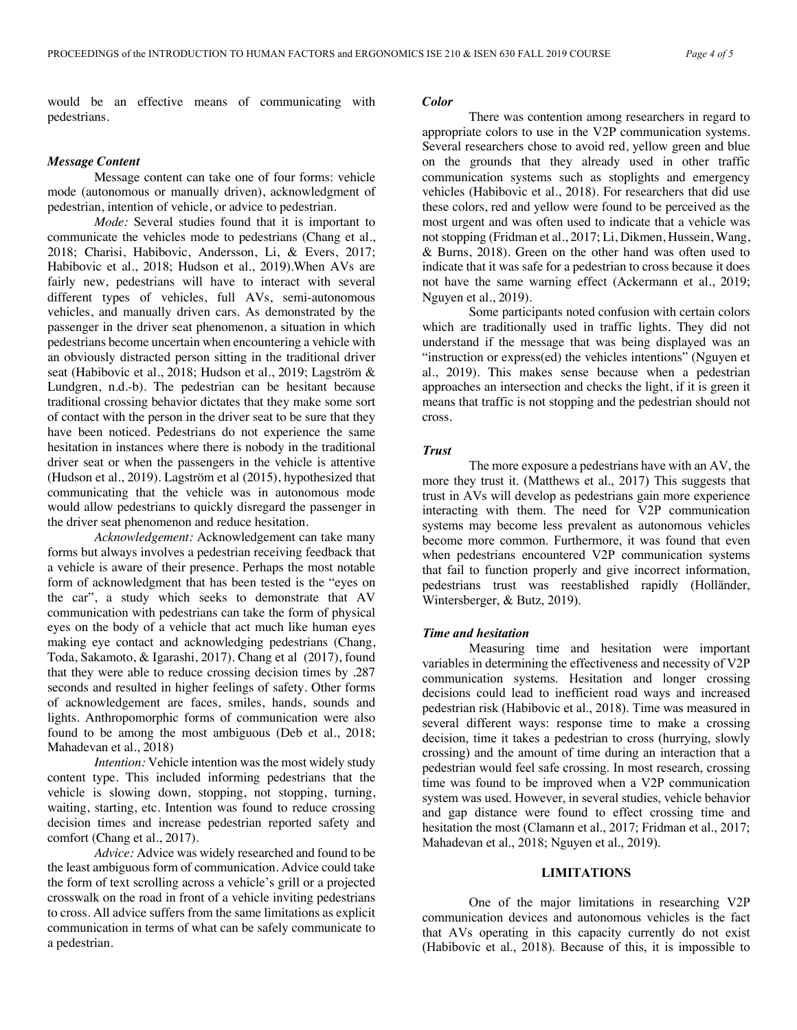would be an effective means of communicating with pedestrians.

# *Message Content*

Message content can take one of four forms: vehicle mode (autonomous or manually driven), acknowledgment of pedestrian, intention of vehicle, or advice to pedestrian.

*Mode:* Several studies found that it is important to communicate the vehicles mode to pedestrians (Chang et al., 2018; Charisi, Habibovic, Andersson, Li, & Evers, 2017; Habibovic et al., 2018; Hudson et al., 2019).When AVs are fairly new, pedestrians will have to interact with several different types of vehicles, full AVs, semi-autonomous vehicles, and manually driven cars. As demonstrated by the passenger in the driver seat phenomenon, a situation in which pedestrians become uncertain when encountering a vehicle with an obviously distracted person sitting in the traditional driver seat (Habibovic et al., 2018; Hudson et al., 2019; Lagström & Lundgren, n.d.-b). The pedestrian can be hesitant because traditional crossing behavior dictates that they make some sort of contact with the person in the driver seat to be sure that they have been noticed. Pedestrians do not experience the same hesitation in instances where there is nobody in the traditional driver seat or when the passengers in the vehicle is attentive (Hudson et al., 2019). Lagström et al (2015), hypothesized that communicating that the vehicle was in autonomous mode would allow pedestrians to quickly disregard the passenger in the driver seat phenomenon and reduce hesitation.

*Acknowledgement:* Acknowledgement can take many forms but always involves a pedestrian receiving feedback that a vehicle is aware of their presence. Perhaps the most notable form of acknowledgment that has been tested is the "eyes on the car", a study which seeks to demonstrate that AV communication with pedestrians can take the form of physical eyes on the body of a vehicle that act much like human eyes making eye contact and acknowledging pedestrians (Chang, Toda, Sakamoto, & Igarashi, 2017). Chang et al (2017), found that they were able to reduce crossing decision times by .287 seconds and resulted in higher feelings of safety. Other forms of acknowledgement are faces, smiles, hands, sounds and lights. Anthropomorphic forms of communication were also found to be among the most ambiguous (Deb et al., 2018; Mahadevan et al., 2018)

*Intention:* Vehicle intention was the most widely study content type. This included informing pedestrians that the vehicle is slowing down, stopping, not stopping, turning, waiting, starting, etc. Intention was found to reduce crossing decision times and increase pedestrian reported safety and comfort (Chang et al., 2017).

*Advice:* Advice was widely researched and found to be the least ambiguous form of communication. Advice could take the form of text scrolling across a vehicle's grill or a projected crosswalk on the road in front of a vehicle inviting pedestrians to cross. All advice suffers from the same limitations as explicit communication in terms of what can be safely communicate to a pedestrian.

# *Color*

There was contention among researchers in regard to appropriate colors to use in the V2P communication systems. Several researchers chose to avoid red, yellow green and blue on the grounds that they already used in other traffic communication systems such as stoplights and emergency vehicles (Habibovic et al., 2018). For researchers that did use these colors, red and yellow were found to be perceived as the most urgent and was often used to indicate that a vehicle was not stopping (Fridman et al., 2017; Li, Dikmen, Hussein, Wang, & Burns, 2018). Green on the other hand was often used to indicate that it was safe for a pedestrian to cross because it does not have the same warning effect (Ackermann et al., 2019; Nguyen et al., 2019).

Some participants noted confusion with certain colors which are traditionally used in traffic lights. They did not understand if the message that was being displayed was an "instruction or express(ed) the vehicles intentions" (Nguyen et al., 2019). This makes sense because when a pedestrian approaches an intersection and checks the light, if it is green it means that traffic is not stopping and the pedestrian should not cross.

# *Trust*

The more exposure a pedestrians have with an AV, the more they trust it. (Matthews et al., 2017) This suggests that trust in AVs will develop as pedestrians gain more experience interacting with them. The need for V2P communication systems may become less prevalent as autonomous vehicles become more common. Furthermore, it was found that even when pedestrians encountered V2P communication systems that fail to function properly and give incorrect information, pedestrians trust was reestablished rapidly (Holländer, Wintersberger, & Butz, 2019).

#### *Time and hesitation*

Measuring time and hesitation were important variables in determining the effectiveness and necessity of V2P communication systems. Hesitation and longer crossing decisions could lead to inefficient road ways and increased pedestrian risk (Habibovic et al., 2018). Time was measured in several different ways: response time to make a crossing decision, time it takes a pedestrian to cross (hurrying, slowly crossing) and the amount of time during an interaction that a pedestrian would feel safe crossing. In most research, crossing time was found to be improved when a V2P communication system was used. However, in several studies, vehicle behavior and gap distance were found to effect crossing time and hesitation the most (Clamann et al., 2017; Fridman et al., 2017; Mahadevan et al., 2018; Nguyen et al., 2019).

# **LIMITATIONS**

One of the major limitations in researching V2P communication devices and autonomous vehicles is the fact that AVs operating in this capacity currently do not exist (Habibovic et al., 2018). Because of this, it is impossible to